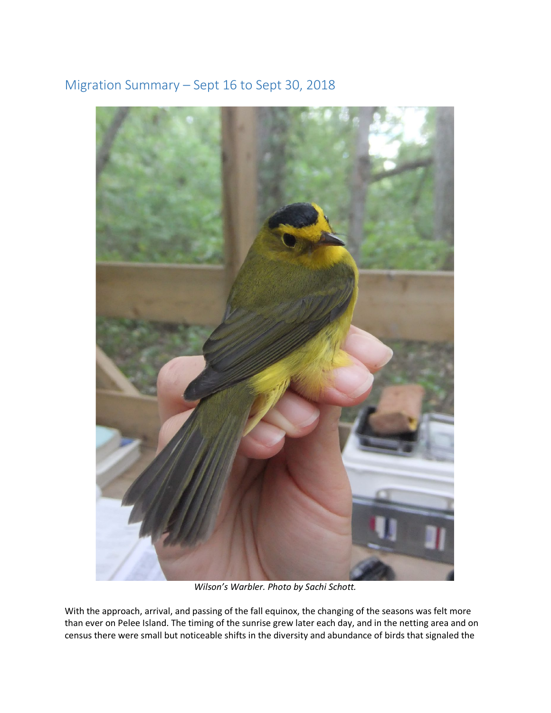



*Wilson's Warbler. Photo by Sachi Schott.*

With the approach, arrival, and passing of the fall equinox, the changing of the seasons was felt more than ever on Pelee Island. The timing of the sunrise grew later each day, and in the netting area and on census there were small but noticeable shifts in the diversity and abundance of birds that signaled the